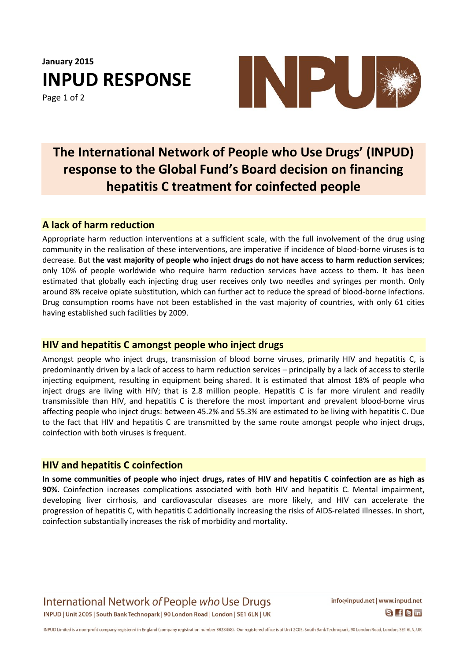**January 2015 INPUD RESPONSE**

Page 1 of 2



## **The International Network of People who Use Drugs' (INPUD) response to the Global Fund's Board decision on financing hepatitis C treatment for coinfected people**

#### **A lack of harm reduction**

Appropriate harm reduction interventions at a sufficient scale, with the full involvement of the drug using community in the realisation of these interventions, are imperative if incidence of blood-borne viruses is to decrease. But **the vast majority of people who inject drugs do not have access to harm reduction services**; only 10% of people worldwide who require harm reduction services have access to them. It has been estimated that globally each injecting drug user receives only two needles and syringes per month. Only around 8% receive opiate substitution, which can further act to reduce the spread of blood-borne infections. Drug consumption rooms have not been established in the vast majority of countries, with only 61 cities having established such facilities by 2009.

#### **HIV and hepatitis C amongst people who inject drugs**

Amongst people who inject drugs, transmission of blood borne viruses, primarily HIV and hepatitis C, is predominantly driven by a lack of access to harm reduction services – principally by a lack of access to sterile injecting equipment, resulting in equipment being shared. It is estimated that almost 18% of people who inject drugs are living with HIV; that is 2.8 million people. Hepatitis C is far more virulent and readily transmissible than HIV, and hepatitis C is therefore the most important and prevalent blood-borne virus affecting people who inject drugs: between 45.2% and 55.3% are estimated to be living with hepatitis C. Due to the fact that HIV and hepatitis C are transmitted by the same route amongst people who inject drugs, coinfection with both viruses is frequent.

### **HIV and hepatitis C coinfection**

In some communities of people who inject drugs, rates of HIV and hepatitis C coinfection are as high as **90%**. Coinfection increases complications associated with both HIV and hepatitis C. Mental impairment, developing liver cirrhosis, and cardiovascular diseases are more likely, and HIV can accelerate the progression of hepatitis C, with hepatitis C additionally increasing the risks of AIDS-related illnesses. In short, coinfection substantially increases the risk of morbidity and mortality.

International Network of People who Use Drugs INPUD | Unit 2C05 | South Bank Technopark | 90 London Road | London | SE1 6LN | UK info@inpud.net | www.inpud.net  $S$   $f$  $s$  $m$ 

INPUD Limited is a non-profit company registered in England (company registration number 8828458). Our registered office is at Unit 2C05, South Bank Technopark, 90 London Road, London, SE1 6LN, UK